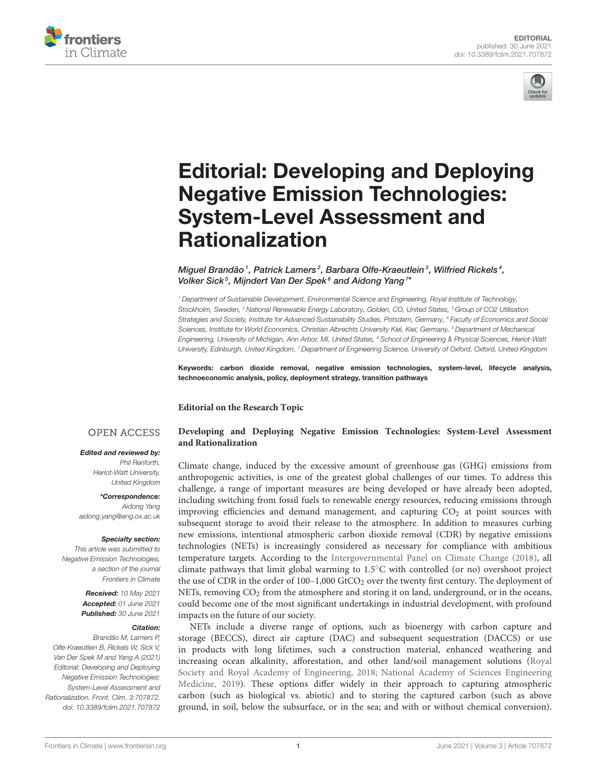



# [Editorial: Developing and Deploying](https://www.frontiersin.org/articles/10.3389/fclim.2021.707872/full) Negative Emission Technologies: System-Level Assessment and Rationalization

Miguel Brandão<sup>1</sup>, Patrick Lamers<sup>2</sup>, Barbara Olfe-Kraeutlein<sup>3</sup>, Wilfried Rickels<sup>4</sup>, Volker Sick<sup>5</sup>, Mijndert Van Der Spek<sup>6</sup> and Aidong Yang<sup>7\*</sup>

<sup>1</sup> Department of Sustainable Development, Environmental Science and Engineering, Royal Institute of Technology, Stockholm, Sweden, <sup>2</sup> National Renewable Energy Laboratory, Golden, CO, United States, <sup>3</sup> Group of CO2 Utilisation Strategies and Society, Institute for Advanced Sustainability Studies, Potsdam, Germany, <sup>4</sup> Faculty of Economics and Social Sciences, Institute for World Economics, Christian Albrechts University Kiel, Kiel, Germany, <sup>5</sup> Department of Mechanical Enaineerina. University of Michigan, Ann Arbor, MI, United States, <sup>6</sup> School of Engineering & Physical Sciences, Heriot-Watt University, Edinburgh, United Kingdom, <sup>7</sup> Department of Engineering Science, University of Oxford, Oxford, United Kingdom

Keywords: carbon dioxide removal, negative emission technologies, system-level, lifecycle analysis, technoeconomic analysis, policy, deployment strategy, transition pathways

**Editorial on the Research Topic**

## **OPEN ACCESS**

## Edited and reviewed by:

Phil Renforth, Heriot-Watt University, United Kingdom

\*Correspondence: Aidong Yang [aidong.yang@eng.ox.ac.uk](mailto:aidong.yang@eng.ox.ac.uk)

#### Specialty section:

This article was submitted to Negative Emission Technologies, a section of the journal Frontiers in Climate

> Received: 10 May 2021 Accepted: 01 June 2021 Published: 30 June 2021

#### Citation:

Brandão M, Lamers P, Olfe-Kraeutlein B, Rickels W, Sick V, Van Der Spek M and Yang A (2021) Editorial: Developing and Deploying Negative Emission Technologies: System-Level Assessment and Rationalization. Front. Clim. 3:707872. doi: [10.3389/fclim.2021.707872](https://doi.org/10.3389/fclim.2021.707872)

## **[Developing and Deploying Negative Emission Technologies: System-Level Assessment](https://www.frontiersin.org/research-topics/11838/developing-and-deploying-negative-emission-technologies-system-level-assessment-and-rationalization) and Rationalization**

Climate change, induced by the excessive amount of greenhouse gas (GHG) emissions from anthropogenic activities, is one of the greatest global challenges of our times. To address this challenge, a range of important measures are being developed or have already been adopted, including switching from fossil fuels to renewable energy resources, reducing emissions through improving efficiencies and demand management, and capturing  $CO<sub>2</sub>$  at point sources with subsequent storage to avoid their release to the atmosphere. In addition to measures curbing new emissions, intentional atmospheric carbon dioxide removal (CDR) by negative emissions technologies (NETs) is increasingly considered as necessary for compliance with ambitious temperature targets. According to the [Intergovernmental Panel on Climate Change \(2018\)](#page-1-0), all climate pathways that limit global warming to 1.5◦C with controlled (or no) overshoot project the use of CDR in the order of  $100-1,000$  GtCO<sub>2</sub> over the twenty first century. The deployment of NETs, removing CO<sub>2</sub> from the atmosphere and storing it on land, underground, or in the oceans, could become one of the most significant undertakings in industrial development, with profound impacts on the future of our society.

NETs include a diverse range of options, such as bioenergy with carbon capture and storage (BECCS), direct air capture (DAC) and subsequent sequestration (DACCS) or use in products with long lifetimes, such a construction material, enhanced weathering and increasing ocean alkalinity, afforestation, and other land/soil management solutions (Royal Society and Royal Academy of Engineering, [2018;](#page-1-1) National Academy of Sciences Engineering Medicine, [2019\)](#page-1-2). These options differ widely in their approach to capturing atmospheric carbon (such as biological vs. abiotic) and to storing the captured carbon (such as above ground, in soil, below the subsurface, or in the sea; and with or without chemical conversion).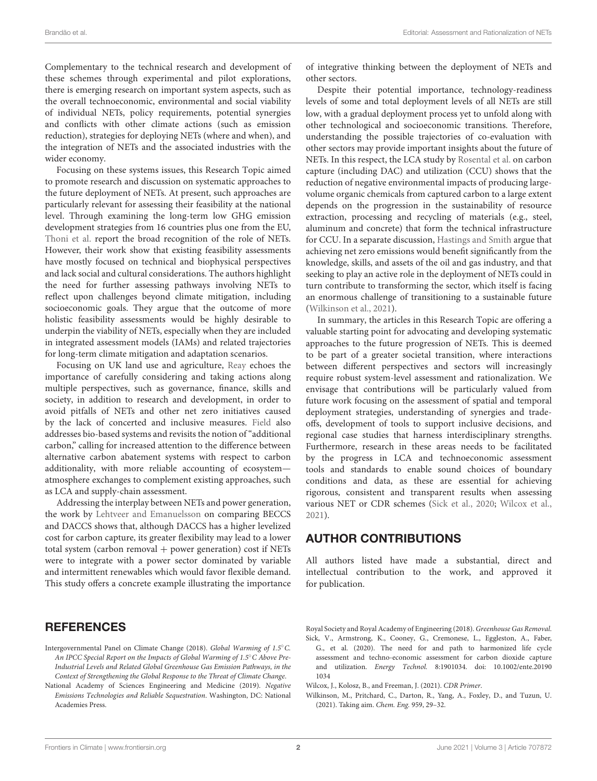Complementary to the technical research and development of these schemes through experimental and pilot explorations, there is emerging research on important system aspects, such as the overall technoeconomic, environmental and social viability of individual NETs, policy requirements, potential synergies and conflicts with other climate actions (such as emission reduction), strategies for deploying NETs (where and when), and the integration of NETs and the associated industries with the wider economy.

Focusing on these systems issues, this Research Topic aimed to promote research and discussion on systematic approaches to the future deployment of NETs. At present, such approaches are particularly relevant for assessing their feasibility at the national level. Through examining the long-term low GHG emission development strategies from 16 countries plus one from the EU, [Thoni et al.](https://doi.org/10.3389/fclim.2020.590305) report the broad recognition of the role of NETs. However, their work show that existing feasibility assessments have mostly focused on technical and biophysical perspectives and lack social and cultural considerations. The authors highlight the need for further assessing pathways involving NETs to reflect upon challenges beyond climate mitigation, including socioeconomic goals. They argue that the outcome of more holistic feasibility assessments would be highly desirable to underpin the viability of NETs, especially when they are included in integrated assessment models (IAMs) and related trajectories for long-term climate mitigation and adaptation scenarios.

Focusing on UK land use and agriculture, [Reay](https://doi.org/10.3389/fclim.2020.00004) echoes the importance of carefully considering and taking actions along multiple perspectives, such as governance, finance, skills and society, in addition to research and development, in order to avoid pitfalls of NETs and other net zero initiatives caused by the lack of concerted and inclusive measures. [Field](https://doi.org/10.3389/fclim.2021.603239) also addresses bio-based systems and revisits the notion of "additional carbon," calling for increased attention to the difference between alternative carbon abatement systems with respect to carbon additionality, with more reliable accounting of ecosystem atmosphere exchanges to complement existing approaches, such as LCA and supply-chain assessment.

Addressing the interplay between NETs and power generation, the work by [Lehtveer and Emanuelsson](https://doi.org/10.3389/fclim.2021.647276) on comparing BECCS and DACCS shows that, although DACCS has a higher levelized cost for carbon capture, its greater flexibility may lead to a lower total system (carbon removal  $+$  power generation) cost if NETs were to integrate with a power sector dominated by variable and intermittent renewables which would favor flexible demand. This study offers a concrete example illustrating the importance

# **REFERENCES**

- <span id="page-1-0"></span>Intergovernmental Panel on Climate Change (2018). Global Warming of 1.5◦C. An IPCC Special Report on the Impacts of Global Warming of 1.5◦C Above Pre-Industrial Levels and Related Global Greenhouse Gas Emission Pathways, in the Context of Strengthening the Global Response to the Threat of Climate Change.
- <span id="page-1-2"></span>National Academy of Sciences Engineering and Medicine (2019). Negative Emissions Technologies and Reliable Sequestration. Washington, DC: National Academies Press.

of integrative thinking between the deployment of NETs and other sectors.

Despite their potential importance, technology-readiness levels of some and total deployment levels of all NETs are still low, with a gradual deployment process yet to unfold along with other technological and socioeconomic transitions. Therefore, understanding the possible trajectories of co-evaluation with other sectors may provide important insights about the future of NETs. In this respect, the LCA study by [Rosental et al.](https://doi.org/10.3389/fclim.2020.586199) on carbon capture (including DAC) and utilization (CCU) shows that the reduction of negative environmental impacts of producing largevolume organic chemicals from captured carbon to a large extent depends on the progression in the sustainability of resource extraction, processing and recycling of materials (e.g., steel, aluminum and concrete) that form the technical infrastructure for CCU. In a separate discussion, [Hastings and Smith](https://doi.org/10.3389/fclim.2020.601778) argue that achieving net zero emissions would benefit significantly from the knowledge, skills, and assets of the oil and gas industry, and that seeking to play an active role in the deployment of NETs could in turn contribute to transforming the sector, which itself is facing an enormous challenge of transitioning to a sustainable future [\(Wilkinson et al., 2021\)](#page-1-3).

In summary, the articles in this Research Topic are offering a valuable starting point for advocating and developing systematic approaches to the future progression of NETs. This is deemed to be part of a greater societal transition, where interactions between different perspectives and sectors will increasingly require robust system-level assessment and rationalization. We envisage that contributions will be particularly valued from future work focusing on the assessment of spatial and temporal deployment strategies, understanding of synergies and tradeoffs, development of tools to support inclusive decisions, and regional case studies that harness interdisciplinary strengths. Furthermore, research in these areas needs to be facilitated by the progress in LCA and technoeconomic assessment tools and standards to enable sound choices of boundary conditions and data, as these are essential for achieving rigorous, consistent and transparent results when assessing various NET or CDR schemes [\(Sick et al., 2020;](#page-1-4) [Wilcox et al.,](#page-1-5) [2021\)](#page-1-5).

# AUTHOR CONTRIBUTIONS

All authors listed have made a substantial, direct and intellectual contribution to the work, and approved it for publication.

<span id="page-1-1"></span>Royal Society and Royal Academy of Engineering (2018). Greenhouse Gas Removal. Sick, V., Armstrong, K., Cooney, G., Cremonese, L., Eggleston, A., Faber,

- <span id="page-1-4"></span>G., et al. (2020). The need for and path to harmonized life cycle assessment and techno-economic assessment for carbon dioxide capture and utilization. Energy Technol. [8:1901034. doi: 10.1002/ente.20190](https://doi.org/10.1002/ente.201901034) 1034
- <span id="page-1-5"></span>Wilcox, J., Kolosz, B., and Freeman, J. (2021). CDR Primer.
- <span id="page-1-3"></span>Wilkinson, M., Pritchard, C., Darton, R., Yang, A., Foxley, D., and Tuzun, U. (2021). Taking aim. Chem. Eng. 959, 29–32.